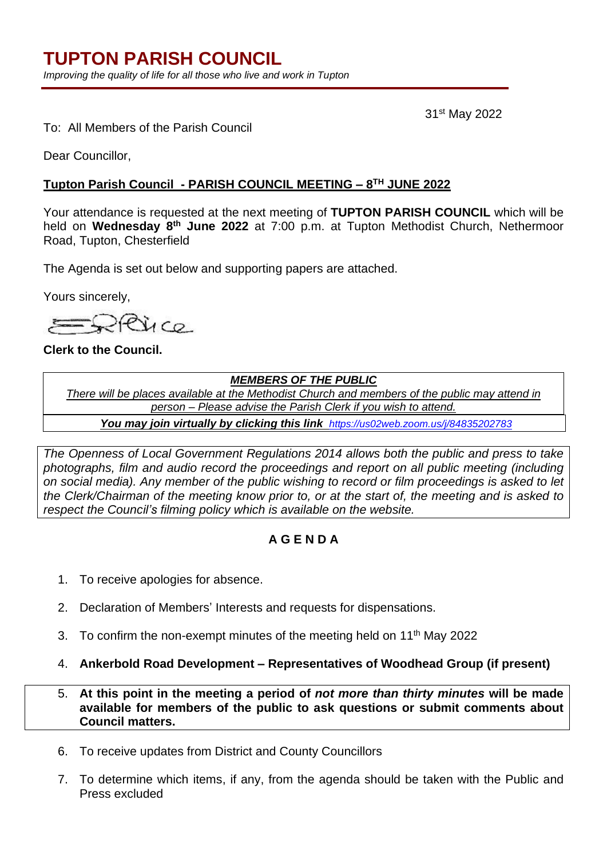*Improving the quality of life for all those who live and work in Tupton*

31st May 2022

To: All Members of the Parish Council

Dear Councillor,

### **Tupton Parish Council - PARISH COUNCIL MEETING – 8 TH JUNE 2022**

Your attendance is requested at the next meeting of **TUPTON PARISH COUNCIL** which will be held on **Wednesday 8 th June 2022** at 7:00 p.m. at Tupton Methodist Church, Nethermoor Road, Tupton, Chesterfield

The Agenda is set out below and supporting papers are attached.

Yours sincerely,

PRICO.

**Clerk to the Council.**

### *MEMBERS OF THE PUBLIC*

*There will be places available at the Methodist Church and members of the public may attend in person – Please advise the Parish Clerk if you wish to attend.*

*You may join virtually by clicking this link <https://us02web.zoom.us/j/84835202783>*

*The Openness of Local Government Regulations 2014 allows both the public and press to take photographs, film and audio record the proceedings and report on all public meeting (including on social media). Any member of the public wishing to record or film proceedings is asked to let the Clerk/Chairman of the meeting know prior to, or at the start of, the meeting and is asked to respect the Council's filming policy which is available on the website.*

## **A G E N D A**

- 1. To receive apologies for absence.
- 2. Declaration of Members' Interests and requests for dispensations.
- 3. To confirm the non-exempt minutes of the meeting held on 11<sup>th</sup> May 2022
- 4. **Ankerbold Road Development – Representatives of Woodhead Group (if present)**

5. **At this point in the meeting a period of** *not more than thirty minutes* **will be made available for members of the public to ask questions or submit comments about Council matters.**

- 6. To receive updates from District and County Councillors
- 7. To determine which items, if any, from the agenda should be taken with the Public and Press excluded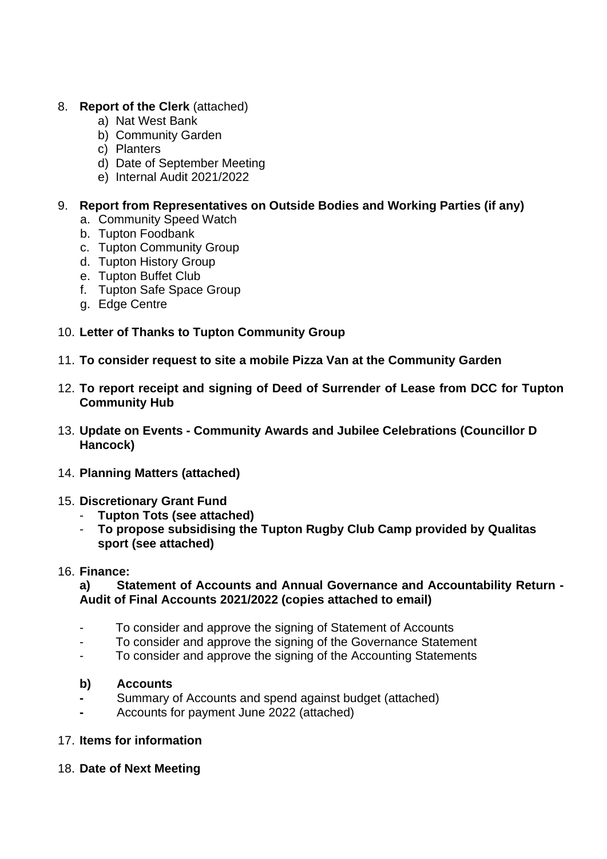## 8. **Report of the Clerk** (attached)

- a) Nat West Bank
- b) Community Garden
- c) Planters
- d) Date of September Meeting
- e) Internal Audit 2021/2022

## 9. **Report from Representatives on Outside Bodies and Working Parties (if any)**

- a. Community Speed Watch
- b. Tupton Foodbank
- c. Tupton Community Group
- d. Tupton History Group
- e. Tupton Buffet Club
- f. Tupton Safe Space Group
- g. Edge Centre

# 10. **Letter of Thanks to Tupton Community Group**

- 11. **To consider request to site a mobile Pizza Van at the Community Garden**
- 12. **To report receipt and signing of Deed of Surrender of Lease from DCC for Tupton Community Hub**
- 13. **Update on Events - Community Awards and Jubilee Celebrations (Councillor D Hancock)**
- 14. **Planning Matters (attached)**

## 15. **Discretionary Grant Fund**

- **Tupton Tots (see attached)**
- **To propose subsidising the Tupton Rugby Club Camp provided by Qualitas sport (see attached)**
- 16. **Finance:**

**a) Statement of Accounts and Annual Governance and Accountability Return - Audit of Final Accounts 2021/2022 (copies attached to email)**

- To consider and approve the signing of Statement of Accounts
- To consider and approve the signing of the Governance Statement
- To consider and approve the signing of the Accounting Statements

### **b) Accounts**

- **-** Summary of Accounts and spend against budget (attached)
- **-** Accounts for payment June 2022 (attached)
- 17. **Items for information**
- 18. **Date of Next Meeting**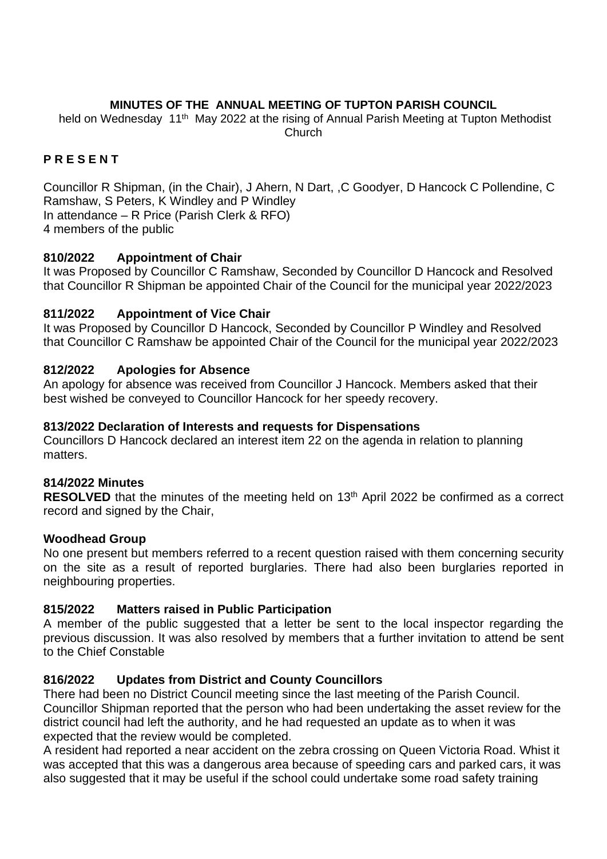### **MINUTES OF THE ANNUAL MEETING OF TUPTON PARISH COUNCIL**

held on Wednesday 11<sup>th</sup> May 2022 at the rising of Annual Parish Meeting at Tupton Methodist Church

## **P R E S E N T**

Councillor R Shipman, (in the Chair), J Ahern, N Dart, ,C Goodyer, D Hancock C Pollendine, C Ramshaw, S Peters, K Windley and P Windley In attendance – R Price (Parish Clerk & RFO) 4 members of the public

### **810/2022 Appointment of Chair**

It was Proposed by Councillor C Ramshaw, Seconded by Councillor D Hancock and Resolved that Councillor R Shipman be appointed Chair of the Council for the municipal year 2022/2023

### **811/2022 Appointment of Vice Chair**

It was Proposed by Councillor D Hancock, Seconded by Councillor P Windley and Resolved that Councillor C Ramshaw be appointed Chair of the Council for the municipal year 2022/2023

### **812/2022 Apologies for Absence**

An apology for absence was received from Councillor J Hancock. Members asked that their best wished be conveyed to Councillor Hancock for her speedy recovery.

#### **813/2022 Declaration of Interests and requests for Dispensations**

Councillors D Hancock declared an interest item 22 on the agenda in relation to planning matters.

### **814/2022 Minutes**

**RESOLVED** that the minutes of the meeting held on 13<sup>th</sup> April 2022 be confirmed as a correct record and signed by the Chair,

### **Woodhead Group**

No one present but members referred to a recent question raised with them concerning security on the site as a result of reported burglaries. There had also been burglaries reported in neighbouring properties.

### **815/2022 Matters raised in Public Participation**

A member of the public suggested that a letter be sent to the local inspector regarding the previous discussion. It was also resolved by members that a further invitation to attend be sent to the Chief Constable

### **816/2022 Updates from District and County Councillors**

There had been no District Council meeting since the last meeting of the Parish Council. Councillor Shipman reported that the person who had been undertaking the asset review for the district council had left the authority, and he had requested an update as to when it was expected that the review would be completed.

A resident had reported a near accident on the zebra crossing on Queen Victoria Road. Whist it was accepted that this was a dangerous area because of speeding cars and parked cars, it was also suggested that it may be useful if the school could undertake some road safety training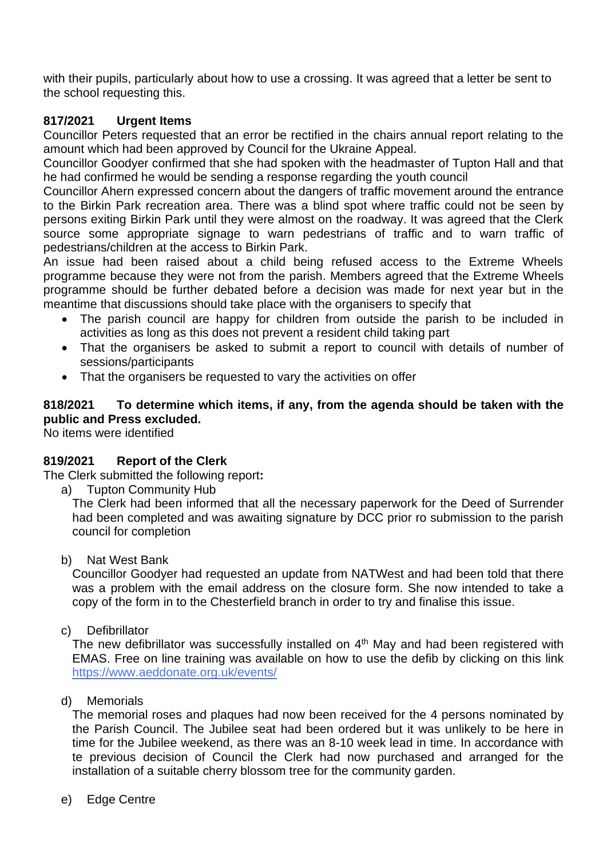with their pupils, particularly about how to use a crossing. It was agreed that a letter be sent to the school requesting this.

# **817/2021 Urgent Items**

Councillor Peters requested that an error be rectified in the chairs annual report relating to the amount which had been approved by Council for the Ukraine Appeal.

Councillor Goodyer confirmed that she had spoken with the headmaster of Tupton Hall and that he had confirmed he would be sending a response regarding the youth council

Councillor Ahern expressed concern about the dangers of traffic movement around the entrance to the Birkin Park recreation area. There was a blind spot where traffic could not be seen by persons exiting Birkin Park until they were almost on the roadway. It was agreed that the Clerk source some appropriate signage to warn pedestrians of traffic and to warn traffic of pedestrians/children at the access to Birkin Park.

An issue had been raised about a child being refused access to the Extreme Wheels programme because they were not from the parish. Members agreed that the Extreme Wheels programme should be further debated before a decision was made for next year but in the meantime that discussions should take place with the organisers to specify that

- The parish council are happy for children from outside the parish to be included in activities as long as this does not prevent a resident child taking part
- That the organisers be asked to submit a report to council with details of number of sessions/participants
- That the organisers be requested to vary the activities on offer

## **818/2021 To determine which items, if any, from the agenda should be taken with the public and Press excluded.**

No items were identified

## **819/2021 Report of the Clerk**

The Clerk submitted the following report**:**

a) Tupton Community Hub

The Clerk had been informed that all the necessary paperwork for the Deed of Surrender had been completed and was awaiting signature by DCC prior ro submission to the parish council for completion

b) Nat West Bank

Councillor Goodyer had requested an update from NATWest and had been told that there was a problem with the email address on the closure form. She now intended to take a copy of the form in to the Chesterfield branch in order to try and finalise this issue.

c) Defibrillator

The new defibrillator was successfully installed on  $4<sup>th</sup>$  May and had been registered with EMAS. Free on line training was available on how to use the defib by clicking on this link <https://www.aeddonate.org.uk/events/>

## d) Memorials

The memorial roses and plaques had now been received for the 4 persons nominated by the Parish Council. The Jubilee seat had been ordered but it was unlikely to be here in time for the Jubilee weekend, as there was an 8-10 week lead in time. In accordance with te previous decision of Council the Clerk had now purchased and arranged for the installation of a suitable cherry blossom tree for the community garden.

e) Edge Centre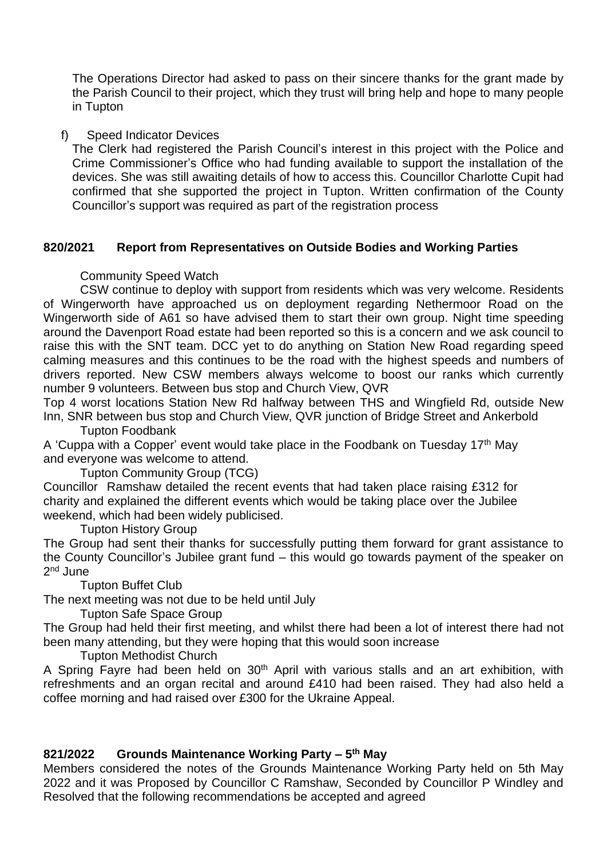The Operations Director had asked to pass on their sincere thanks for the grant made by the Parish Council to their project, which they trust will bring help and hope to many people in Tupton

#### f) Speed Indicator Devices

The Clerk had registered the Parish Council's interest in this project with the Police and Crime Commissioner's Office who had funding available to support the installation of the devices. She was still awaiting details of how to access this. Councillor Charlotte Cupit had confirmed that she supported the project in Tupton. Written confirmation of the County Councillor's support was required as part of the registration process

### **820/2021 Report from Representatives on Outside Bodies and Working Parties**

### Community Speed Watch

CSW continue to deploy with support from residents which was very welcome. Residents of Wingerworth have approached us on deployment regarding Nethermoor Road on the Wingerworth side of A61 so have advised them to start their own group. Night time speeding around the Davenport Road estate had been reported so this is a concern and we ask council to raise this with the SNT team. DCC yet to do anything on Station New Road regarding speed calming measures and this continues to be the road with the highest speeds and numbers of drivers reported. New CSW members always welcome to boost our ranks which currently number 9 volunteers. Between bus stop and Church View, QVR

Top 4 worst locations Station New Rd halfway between THS and Wingfield Rd, outside New Inn, SNR between bus stop and Church View, QVR junction of Bridge Street and Ankerbold

Tupton Foodbank

A 'Cuppa with a Copper' event would take place in the Foodbank on Tuesday 17th May and everyone was welcome to attend.

Tupton Community Group (TCG)

Councillor Ramshaw detailed the recent events that had taken place raising £312 for charity and explained the different events which would be taking place over the Jubilee weekend, which had been widely publicised.

Tupton History Group

The Group had sent their thanks for successfully putting them forward for grant assistance to the County Councillor's Jubilee grant fund – this would go towards payment of the speaker on 2<sup>nd</sup> June

Tupton Buffet Club

The next meeting was not due to be held until July

Tupton Safe Space Group

The Group had held their first meeting, and whilst there had been a lot of interest there had not been many attending, but they were hoping that this would soon increase

Tupton Methodist Church

A Spring Fayre had been held on 30<sup>th</sup> April with various stalls and an art exhibition, with refreshments and an organ recital and around £410 had been raised. They had also held a coffee morning and had raised over £300 for the Ukraine Appeal.

### **821/2022 Grounds Maintenance Working Party – 5 th May**

Members considered the notes of the Grounds Maintenance Working Party held on 5th May 2022 and it was Proposed by Councillor C Ramshaw, Seconded by Councillor P Windley and Resolved that the following recommendations be accepted and agreed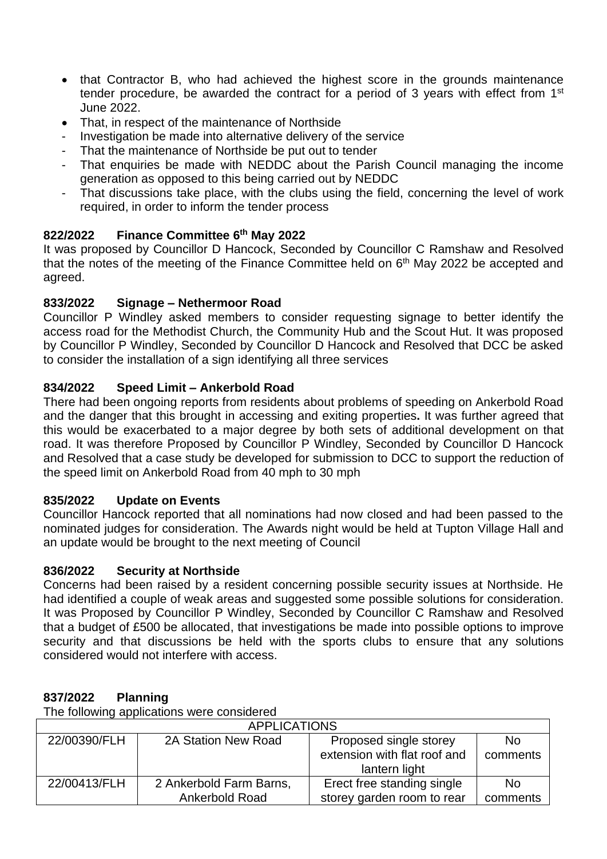- that Contractor B, who had achieved the highest score in the grounds maintenance tender procedure, be awarded the contract for a period of 3 years with effect from 1<sup>st</sup> June 2022.
- That, in respect of the maintenance of Northside
- Investigation be made into alternative delivery of the service
- That the maintenance of Northside be put out to tender
- That enquiries be made with NEDDC about the Parish Council managing the income generation as opposed to this being carried out by NEDDC
- That discussions take place, with the clubs using the field, concerning the level of work required, in order to inform the tender process

# **822/2022 Finance Committee 6 th May 2022**

It was proposed by Councillor D Hancock, Seconded by Councillor C Ramshaw and Resolved that the notes of the meeting of the Finance Committee held on 6th May 2022 be accepted and agreed.

# **833/2022 Signage – Nethermoor Road**

Councillor P Windley asked members to consider requesting signage to better identify the access road for the Methodist Church, the Community Hub and the Scout Hut. It was proposed by Councillor P Windley, Seconded by Councillor D Hancock and Resolved that DCC be asked to consider the installation of a sign identifying all three services

# **834/2022 Speed Limit – Ankerbold Road**

There had been ongoing reports from residents about problems of speeding on Ankerbold Road and the danger that this brought in accessing and exiting properties**.** It was further agreed that this would be exacerbated to a major degree by both sets of additional development on that road. It was therefore Proposed by Councillor P Windley, Seconded by Councillor D Hancock and Resolved that a case study be developed for submission to DCC to support the reduction of the speed limit on Ankerbold Road from 40 mph to 30 mph

## **835/2022 Update on Events**

Councillor Hancock reported that all nominations had now closed and had been passed to the nominated judges for consideration. The Awards night would be held at Tupton Village Hall and an update would be brought to the next meeting of Council

## **836/2022 Security at Northside**

Concerns had been raised by a resident concerning possible security issues at Northside. He had identified a couple of weak areas and suggested some possible solutions for consideration. It was Proposed by Councillor P Windley, Seconded by Councillor C Ramshaw and Resolved that a budget of £500 be allocated, that investigations be made into possible options to improve security and that discussions be held with the sports clubs to ensure that any solutions considered would not interfere with access.

## **837/2022 Planning**

The following applications were considered

| <b>APPLICATIONS</b> |                         |                              |           |  |  |
|---------------------|-------------------------|------------------------------|-----------|--|--|
| 22/00390/FLH        | 2A Station New Road     | Proposed single storey       | No.       |  |  |
|                     |                         | extension with flat roof and | comments  |  |  |
|                     |                         | lantern light                |           |  |  |
| 22/00413/FLH        | 2 Ankerbold Farm Barns, | Erect free standing single   | <b>No</b> |  |  |
|                     | Ankerbold Road          | storey garden room to rear   | comments  |  |  |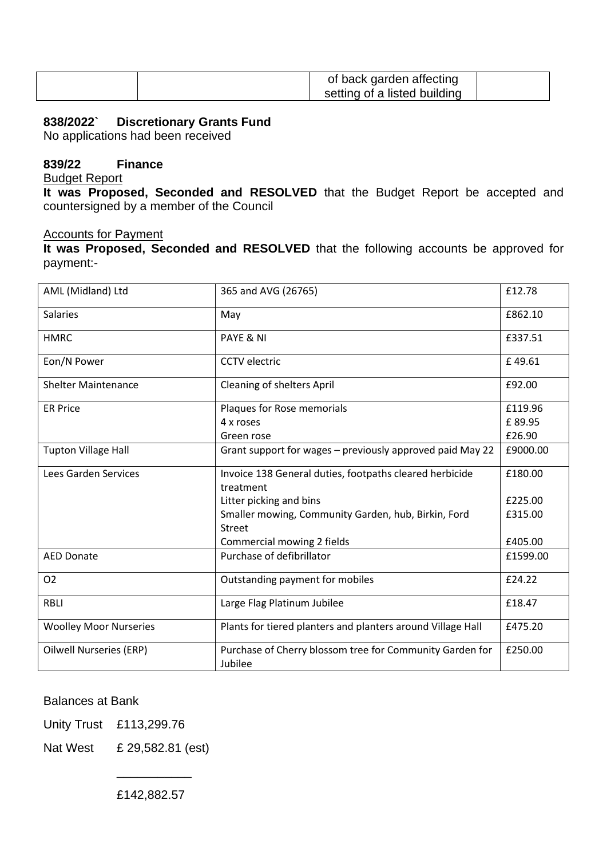|  | of back garden affecting     |  |
|--|------------------------------|--|
|  | setting of a listed building |  |

#### **838/2022` Discretionary Grants Fund**

No applications had been received

### **839/22 Finance**

Budget Report

**It was Proposed, Seconded and RESOLVED** that the Budget Report be accepted and countersigned by a member of the Council

#### Accounts for Payment

**It was Proposed, Seconded and RESOLVED** that the following accounts be approved for payment:-

| AML (Midland) Ltd              | 365 and AVG (26765)                                                 | £12.78   |
|--------------------------------|---------------------------------------------------------------------|----------|
| <b>Salaries</b>                | May                                                                 | £862.10  |
| <b>HMRC</b>                    | PAYE & NI                                                           | £337.51  |
| Eon/N Power                    | <b>CCTV</b> electric                                                | £49.61   |
| <b>Shelter Maintenance</b>     | Cleaning of shelters April                                          | £92.00   |
| <b>ER Price</b>                | Plaques for Rose memorials                                          | £119.96  |
|                                | 4 x roses                                                           | £89.95   |
|                                | Green rose                                                          | £26.90   |
| <b>Tupton Village Hall</b>     | Grant support for wages - previously approved paid May 22           | £9000.00 |
| Lees Garden Services           | Invoice 138 General duties, footpaths cleared herbicide             | £180.00  |
|                                | treatment                                                           |          |
|                                | Litter picking and bins                                             | £225.00  |
|                                | Smaller mowing, Community Garden, hub, Birkin, Ford                 | £315.00  |
|                                | Street                                                              |          |
|                                | Commercial mowing 2 fields                                          | £405.00  |
| <b>AED Donate</b>              | Purchase of defibrillator                                           | £1599.00 |
| O <sub>2</sub>                 | Outstanding payment for mobiles                                     | £24.22   |
| <b>RBLI</b>                    | Large Flag Platinum Jubilee                                         | £18.47   |
| <b>Woolley Moor Nurseries</b>  | Plants for tiered planters and planters around Village Hall         | £475.20  |
| <b>Oilwell Nurseries (ERP)</b> | Purchase of Cherry blossom tree for Community Garden for<br>Jubilee | £250.00  |

#### Balances at Bank

Unity Trust £113,299.76

Nat West £ 29,582.81 (est)

£142,882.57

 $\overline{\phantom{a}}$